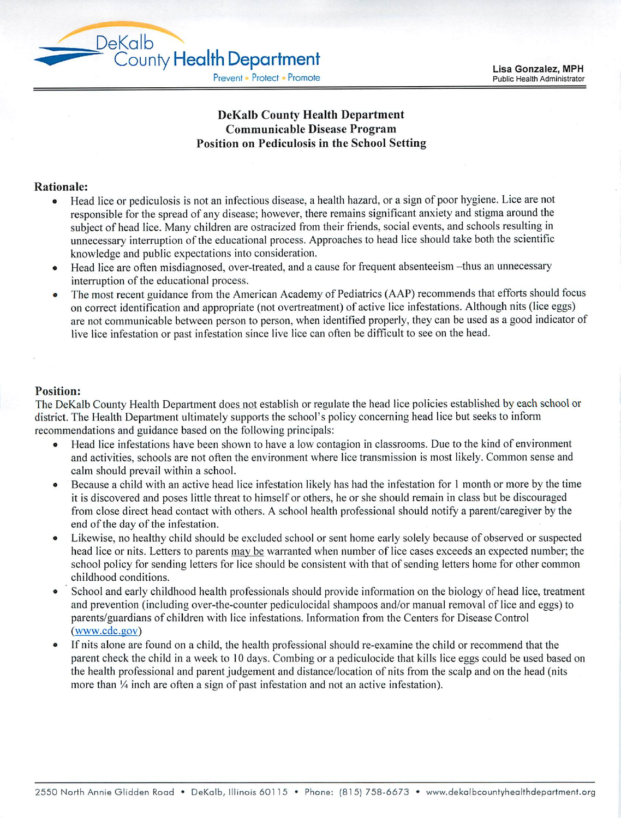## *DeKalb County Health Department Communicable Disease Program Position on Pediculosis in the School Setting*

## *Rationale:*

DeKalb

- Head lice or pediculosis is not an infectious disease, a health hazard, or a sign of poor hygiene. Lice are not responsible for the spread of any disease; however, there remains significant anxiety and stigma around the subject of head lice. Many children are ostracized from their friends, social events, and schools resulting in unnecessary interruption of the educational process. Approaches to head lice should take both the scientific knowledge and public expectations into consideration.
- Head lice are often misdiagnosed, over-treated, and a cause for frequent absenteeism -thus an unnecessary interruption of the educational process.
- The most recent guidance from the American Academy of Pediatrics (AAP) recommends that efforts should focus on correct identification and appropriate (not overtreatment) of active lice infestations. Although nits (lice eggs) are not communicable between person to person, when identified properly, they can be used as a good indicator of live lice infestation or past infestation since live lice can often be difficult to see on the head.

## *Position:*

The DeKalb County Health Department does not establish or regulate the head lice policies established by each school or district. The Health Department ultimately supports the school's policy concerning head lice but seeks to inform recommendations and guidance based on the following principals:

- Head lice infestations have been shown to have a low contagion in classrooms. Due to the kind of environment and activities, schools are not often the environment where lice transmission is most likely. Common sense and calm should prevail within a school.
- Because a child with an active head lice infestation likely has had the infestation for 1 month or more by the time it is discovered and poses little threat to himself or others, he or she should remain in class but be discouraged from close direct head contact with others. A school health professional should notify a parent/caregiver by the end of the day of the infestation.
- Likewise, no healthy child should be excluded school or sent home early solely because of observed or suspected head lice or nits. Letters to parents may be warranted when number of lice cases exceeds an expected number; the school policy for sending letters for lice should be consistent with that of sending letters home for other common childhood conditions.
- School and early childhood health professionals should provide information on the biology of head lice, treatment and prevention (including over-the-counter pediculocidal shampoos and/or manual removal of lice and eggs) to parents/guardians of children with lice infestations. Information from the Centers for Disease Control (www.cdc.gov)
- If nits alone are found on a child, the health professional should re-examine the child or recommend that the parent check the child in a week to 10 days. Combing or a pediculocide that kills lice eggs could be used based on the health professional and parent judgement and distance/location of nits from the scalp and on the head (nits more than  $\frac{1}{4}$  inch are often a sign of past infestation and not an active infestation).